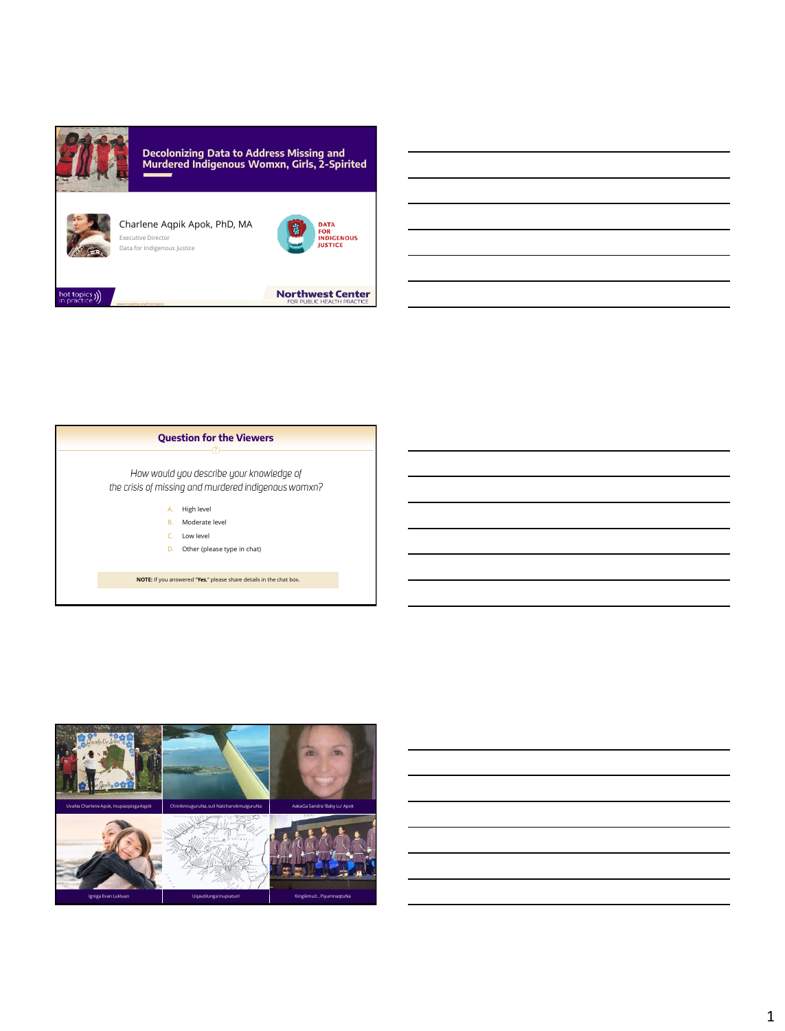



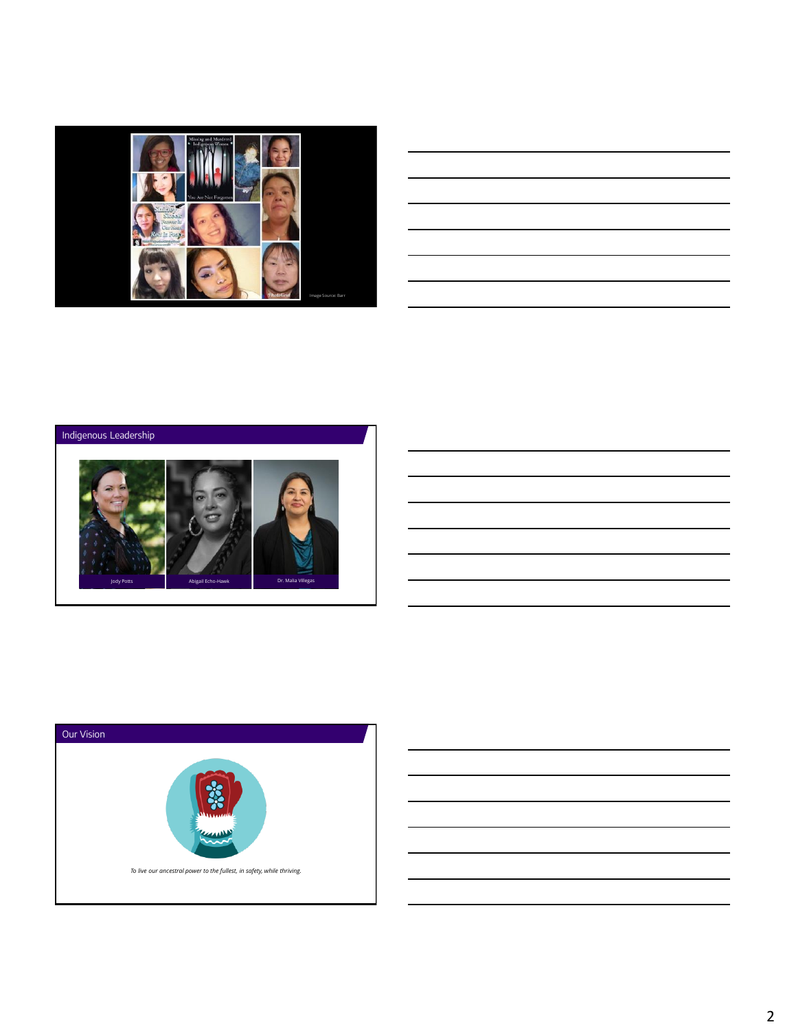

| <u> 1989 - Johann Stoff, deutscher Stoff, der Stoff, der Stoff, der Stoff, der Stoff, der Stoff, der Stoff, der S</u>                                                                                                         |  |  |
|-------------------------------------------------------------------------------------------------------------------------------------------------------------------------------------------------------------------------------|--|--|
| <u> 1989 - Johann Barn, mars ann an t-Amhain ann an t-Amhain ann an t-Amhain ann an t-Amhain an t-Amhain ann an t-</u>                                                                                                        |  |  |
| the control of the control of the control of the control of the control of the control of the control of the control of the control of the control of the control of the control of the control of the control of the control |  |  |
| <u> 1989 - Johann Stoff, deutscher Stoff, der Stoff, der Stoff, der Stoff, der Stoff, der Stoff, der Stoff, der S</u>                                                                                                         |  |  |
| ,我们也不会有什么。""我们的人,我们也不会有什么?""我们的人,我们也不会有什么?""我们的人,我们也不会有什么?""我们的人,我们也不会有什么?""我们的人                                                                                                                                              |  |  |
|                                                                                                                                                                                                                               |  |  |





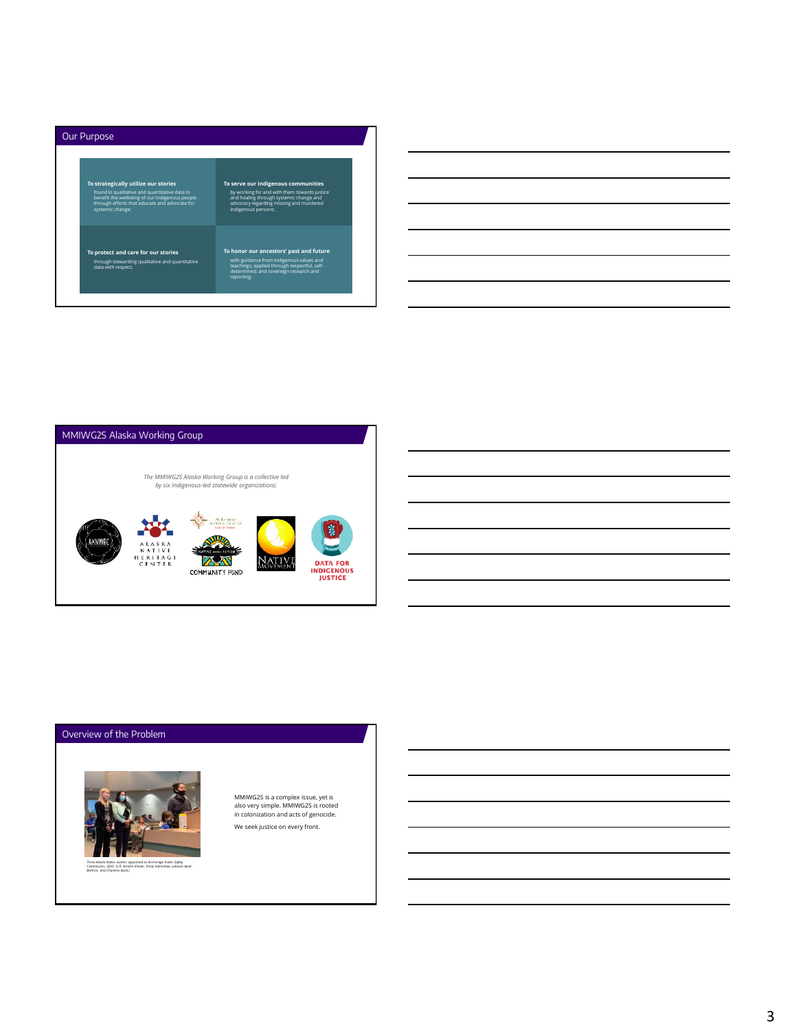

| and the control of the control of the control of the control of the control of the control of the control of the |  |
|------------------------------------------------------------------------------------------------------------------|--|
|                                                                                                                  |  |
|                                                                                                                  |  |
|                                                                                                                  |  |
|                                                                                                                  |  |
|                                                                                                                  |  |
|                                                                                                                  |  |
|                                                                                                                  |  |
|                                                                                                                  |  |
|                                                                                                                  |  |
|                                                                                                                  |  |
|                                                                                                                  |  |
|                                                                                                                  |  |
|                                                                                                                  |  |
|                                                                                                                  |  |
|                                                                                                                  |  |
|                                                                                                                  |  |
|                                                                                                                  |  |
|                                                                                                                  |  |
|                                                                                                                  |  |
|                                                                                                                  |  |
|                                                                                                                  |  |
|                                                                                                                  |  |
|                                                                                                                  |  |
|                                                                                                                  |  |



## Overview of the Problem



MMIWG2S is a complex issue, yet is also very simple. MMIWG2S is rooted in colonization and acts of genocide. We seek justice on every front.

3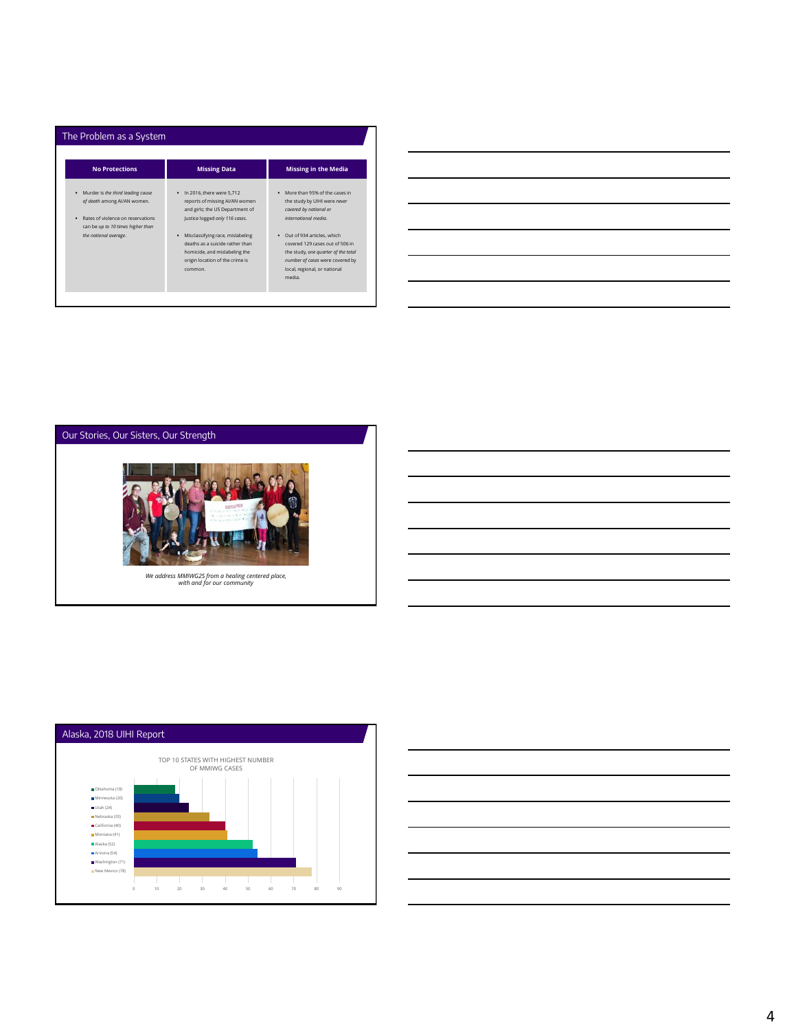| <b>No Protections</b>                                                                                                                                                         | <b>Missing Data</b>                                                                                                                                                                                                                                                                           | <b>Missing in the Media</b>                                                                                                                                                                                                                                                                        |
|-------------------------------------------------------------------------------------------------------------------------------------------------------------------------------|-----------------------------------------------------------------------------------------------------------------------------------------------------------------------------------------------------------------------------------------------------------------------------------------------|----------------------------------------------------------------------------------------------------------------------------------------------------------------------------------------------------------------------------------------------------------------------------------------------------|
| Murder is the third leading cause<br>٠<br>of death among AI/AN women.<br>Rates of violence on reservations<br>٠<br>can be up to 10 times higher than<br>the national average. | . In 2016, there were 5.712<br>reports of missing AI/AN women<br>and girls; the US Department of<br>Justice logged only 116 cases.<br>Misclassifying race, mislabeling<br>٠<br>deaths as a suicide rather than<br>homicide, and mislabeling the<br>origin location of the crime is<br>common. | More than 95% of the cases in<br>the study by UIHI were never<br>covered by national or<br>international media<br>Out of 934 articles, which<br>covered 129 cases out of 506 in<br>the study, one quarter of the total<br>number of cases were covered by<br>local, regional, or national<br>media |







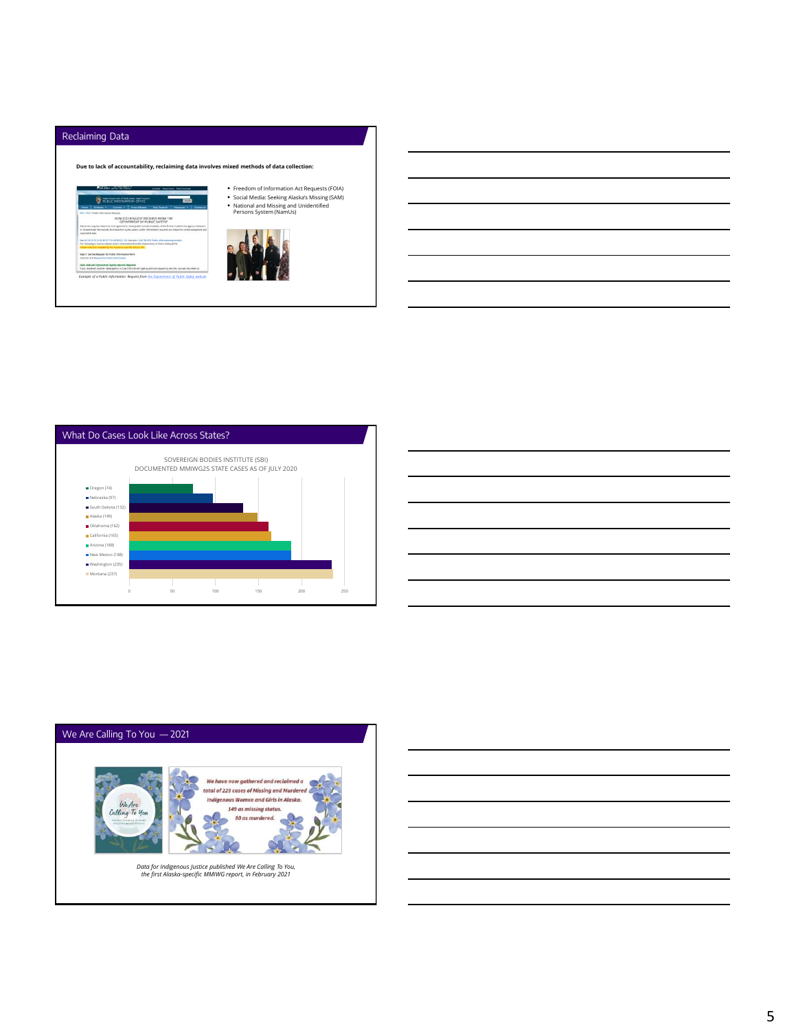





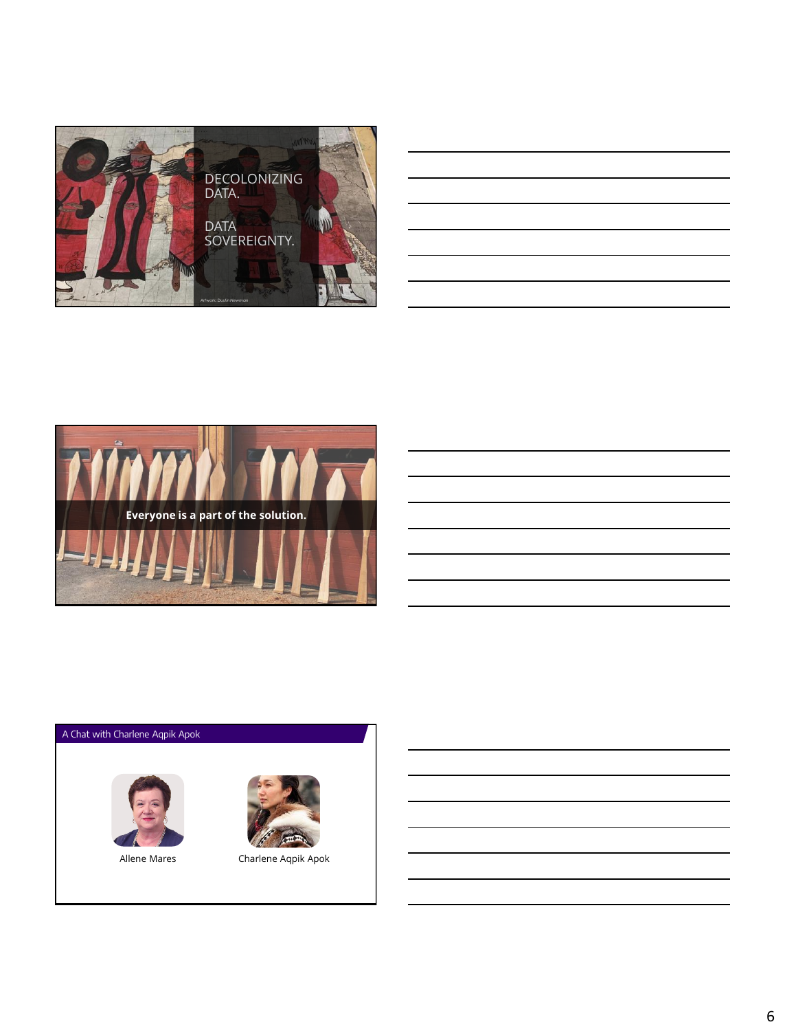



## A Chat with Charlene Aqpik Apok





Allene Mares Charlene Aqpik Apok